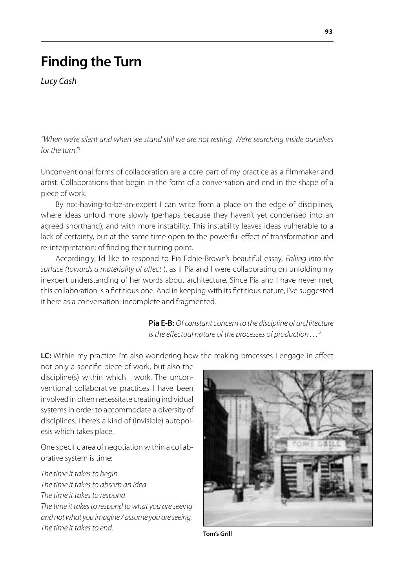## **Finding the Turn**

*Lucy Cash*

*"When we're silent and when we stand still we are not resting. We're searching inside ourselves for the turn."1*

Unconventional forms of collaboration are a core part of my practice as a filmmaker and artist. Collaborations that begin in the form of a conversation and end in the shape of a piece of work.

By not-having-to-be-an-expert I can write from a place on the edge of disciplines, where ideas unfold more slowly (perhaps because they haven't yet condensed into an agreed shorthand), and with more instability. This instability leaves ideas vulnerable to a lack of certainty, but at the same time open to the powerful effect of transformation and re-interpretation: of finding their turning point.

Accordingly, I'd like to respond to Pia Ednie-Brown's beautiful essay, *Falling into the surface (towards a materiality of affect* ), as if Pia and I were collaborating on unfolding my inexpert understanding of her words about architecture. Since Pia and I have never met, this collaboration is a fictitious one. And in keeping with its fictitious nature, I've suggested it here as a conversation: incomplete and fragmented.

> **Pia E-B:** *Of constant concern to the discipline of architecture is the effectual nature of the processes of production . . .* <sup>2</sup>

**LC:** Within my practice I'm also wondering how the making processes I engage in affect

not only a specific piece of work, but also the discipline(s) within which I work. The unconventional collaborative practices I have been involved in often necessitate creating individual systems in order to accommodate a diversity of disciplines. There's a kind of (invisible) autopoiesis which takes place.

One specific area of negotiation within a collaborative system is time:

*The time it takes to begin The time it takes to absorb an idea The time it takes to respond The time it takes to respond to what you are seeing and not what you imagine / assume you are seeing. The time it takes to end.*



**Tom's Grill**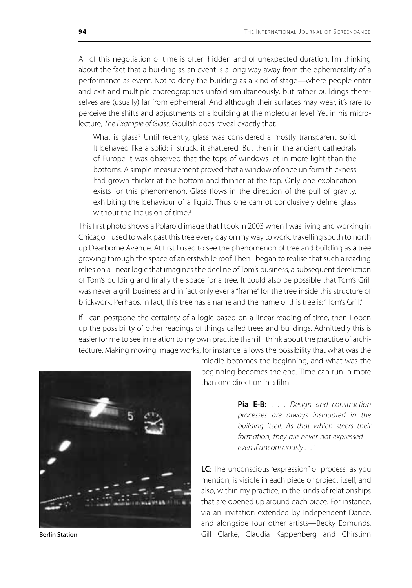All of this negotiation of time is often hidden and of unexpected duration. I'm thinking about the fact that a building as an event is a long way away from the ephemerality of a performance as event. Not to deny the building as a kind of stage—where people enter and exit and multiple choreographies unfold simultaneously, but rather buildings themselves are (usually) far from ephemeral. And although their surfaces may wear, it's rare to perceive the shifts and adjustments of a building at the molecular level. Yet in his microlecture, *The Example of Glass*, Goulish does reveal exactly that:

What is glass? Until recently, glass was considered a mostly transparent solid. It behaved like a solid; if struck, it shattered. But then in the ancient cathedrals of Europe it was observed that the tops of windows let in more light than the bottoms. A simple measurement proved that a window of once uniform thickness had grown thicker at the bottom and thinner at the top. Only one explanation exists for this phenomenon. Glass flows in the direction of the pull of gravity, exhibiting the behaviour of a liquid. Thus one cannot conclusively define glass without the inclusion of time. $3$ 

This first photo shows a Polaroid image that I took in 2003 when I was living and working in Chicago. I used to walk past this tree every day on my way to work, travelling south to north up Dearborne Avenue. At first I used to see the phenomenon of tree and building as a tree growing through the space of an erstwhile roof. Then I began to realise that such a reading relies on a linear logic that imagines the decline of Tom's business, a subsequent dereliction of Tom's building and finally the space for a tree. It could also be possible that Tom's Grill was never a grill business and in fact only ever a "frame" for the tree inside this structure of brickwork. Perhaps, in fact, this tree has a name and the name of this tree is: "Tom's Grill."

If I can postpone the certainty of a logic based on a linear reading of time, then I open up the possibility of other readings of things called trees and buildings. Admittedly this is easier for me to see in relation to my own practice than if I think about the practice of architecture. Making moving image works, for instance, allows the possibility that what was the



middle becomes the beginning, and what was the beginning becomes the end. Time can run in more than one direction in a film.

> **Pia E-B:** . . . *Design and construction processes are always insinuated in the building itself. As that which steers their formation, they are never not expressed even if unconsciously . . .* <sup>4</sup>

**LC**: The unconscious "expression" of process, as you mention, is visible in each piece or project itself, and also, within my practice, in the kinds of relationships that are opened up around each piece. For instance, via an invitation extended by Independent Dance, and alongside four other artists—Becky Edmunds, **Berlin Station Gill Clarke, Claudia Kappenberg and Chirstinn**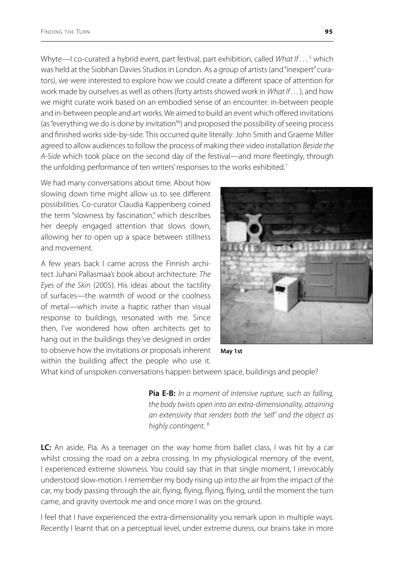Whyte—I co-curated a hybrid event, part festival, part exhibition, called *What If* . . . <sup>5</sup> which was held at the Siobhan Davies Studios in London. As a group of artists (and "inexpert" curators), we were interested to explore how we could create a different space of attention for work made by ourselves as well as others (forty artists showed work in *What If . . .* ), and how we might curate work based on an embodied sense of an encounter: in-between people and in-between people and art works. We aimed to build an event which offered invitations (as "everything we do is done by invitation"6 ) and proposed the possibility of seeing process and finished works side-by-side. This occurred quite literally: John Smith and Graeme Miller agreed to allow audiences to follow the process of making their video installation *Beside the A-Side* which took place on the second day of the festival—and more fleetingly, through the unfolding performance of ten writers' responses to the works exhibited.<sup>7</sup>

We had many conversations about time. About how slowing down time might allow us to see different possibilities. Co-curator Claudia Kappenberg coined the term "slowness by fascination," which describes her deeply engaged attention that slows down, allowing her to open up a space between stillness and movement.

A few years back I came across the Finnish architect Juhani Pallasmaa's book about architecture: *The Eyes of the Skin* (2005)*.* His ideas about the tactility of surfaces—the warmth of wood or the coolness of metal—which invite a haptic rather than visual response to buildings, resonated with me. Since then, I've wondered how often architects get to hang out in the buildings they've designed in order to observe how the invitations or proposals inherent within the building affect the people who use it.



**May 1st**

What kind of unspoken conversations happen between space, buildings and people?

 **Pia E-B:** *In a moment of intensive rupture, such as falling, the body twists open into an extra-dimensionality, attaining an extensivity that renders both the 'self' and the object as highly contingent.* <sup>8</sup>

**LC:** An aside, Pia. As a teenager on the way home from ballet class, I was hit by a car whilst crossing the road on a zebra crossing. In my physiological memory of the event, I experienced extreme slowness. You could say that in that single moment, I irrevocably understood slow-motion. I remember my body rising up into the air from the impact of the car, my body passing through the air, flying, flying, flying, flying, until the moment the turn came, and gravity overtook me and once more I was on the ground.

I feel that I have experienced the extra-dimensionality you remark upon in multiple ways. Recently I learnt that on a perceptual level, under extreme duress, our brains take in more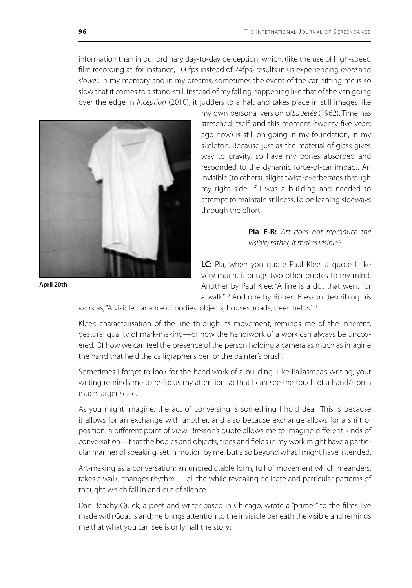information than in our ordinary day-to-day perception, which, (like the use of high-speed film recording at, for instance, 100fps instead of 24fps) results in us experiencing *more* and *slower.* In my memory and in my dreams, sometimes the event of the car hitting me is so slow that it comes to a stand-still. Instead of my falling happening like that of the van going over the edge in *Inception* (2010), it judders to a halt and takes place in still images like



my own personal version of*La Jetée* (1962). Time has stretched itself, and this moment (twenty-five years ago now) is still on-going in my foundation, in my skeleton. Because just as the material of glass gives way to gravity, so have my bones absorbed and responded to the dynamic force-of-car impact. An invisible (to others), slight twist reverberates through my right side. If I was a building and needed to attempt to maintain stillness, I'd be leaning sideways through the effort.

> **Pia E-B:** *Art does not reproduce the visible; rather, it makes visible.*<sup>9</sup>

**LC:** Pia, when you quote Paul Klee, a quote I like very much, it brings two other quotes to my mind. Another by Paul Klee: "A line is a dot that went for a walk."10 And one by Robert Bresson describing his

work as, "A visible parlance of bodies, objects, houses, roads, trees, fields."11

Klee's characterisation of the line through its movement, reminds me of the inherent, gestural quality of mark-making—of how the handiwork of a work can always be uncovered. Of how we can feel the presence of the person holding a camera as much as imagine the hand that held the calligrapher's pen or the painter's brush.

Sometimes I forget to look for the handiwork of a building. Like Pallasmaa's writing, your writing reminds me to re-focus my attention so that I can see the touch of a hand/s on a much larger scale.

As you might imagine, the act of conversing is something I hold dear. This is because it allows for an exchange with another, and also because exchange allows for a shift of position, a different point of view. Bresson's quote allows me to imagine different kinds of conversation—that the bodies and objects, trees and fields in my work might have a particular manner of speaking, set in motion by me, but also beyond what I might have intended.

Art-making as a conversation: an unpredictable form, full of movement which meanders, takes a walk, changes rhythm . . . all the while revealing delicate and particular patterns of thought which fall in and out of silence.

Dan Beachy-Quick, a poet and writer based in Chicago, wrote a "primer" to the films I've made with Goat Island; he brings attention to the invisible beneath the visible and reminds me that what you can see is only half the story: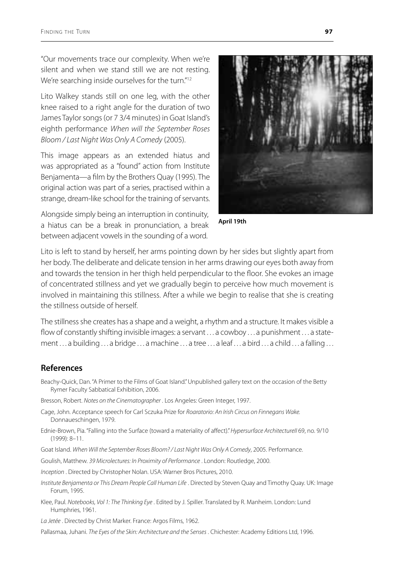"Our movements trace our complexity. When we're silent and when we stand still we are not resting. We're searching inside ourselves for the turn."<sup>12</sup>

Lito Walkey stands still on one leg, with the other knee raised to a right angle for the duration of two James Taylor songs (or 7 3/4 minutes) in Goat Island's eighth performance *When will the September Roses Bloom / Last Night Was Only A Comedy* (2005).

This image appears as an extended hiatus and was appropriated as a "found" action from Institute Benjamenta—a film by the Brothers Quay (1995). The original action was part of a series, practised within a strange, dream-like school for the training of servants.

Alongside simply being an interruption in continuity, a hiatus can be a break in pronunciation, a break between adjacent vowels in the sounding of a word.



**April 19th**

Lito is left to stand by herself, her arms pointing down by her sides but slightly apart from her body. The deliberate and delicate tension in her arms drawing our eyes both away from and towards the tension in her thigh held perpendicular to the floor. She evokes an image of concentrated stillness and yet we gradually begin to perceive how much movement is involved in maintaining this stillness. After a while we begin to realise that she is creating the stillness outside of herself.

The stillness she creates has a shape and a weight, a rhythm and a structure. It makes visible a flow of constantly shifting invisible images: a servant . . . a cowboy . . . a punishment . . . a statement . . . a building . . . a bridge . . . a machine . . . a tree . . . a leaf . . . a bird . . . a child . . . a falling . . .

## **References**

Beachy-Quick, Dan. "A Primer to the Films of Goat Island." Unpublished gallery text on the occasion of the Betty Rymer Faculty Sabbatical Exhibition, 2006.

Bresson, Robert. *Notes on the Cinematographer* . Los Angeles: Green Integer, 1997.

- Cage, John. Acceptance speech for Carl Sczuka Prize for *Roaratorio: An Irish Circus on Finnegans Wake.*  Donnaueschingen, 1979.
- Ednie-Brown, Pia. "Falling into the Surface (toward a materiality of affect)." *Hypersurface ArchitectureII* 69, no. 9/10 (1999): 8–11.
- Goat Island. *When Will the September Roses Bloom? / Last Night Was Only A Comedy*, 2005. Performance.
- Goulish, Matthew. *39 Microlectures: In Proximity of Performance* . London: Routledge, 2000.
- *Inception* . Directed by Christopher Nolan. USA: Warner Bros Pictures, 2010.
- *Institute Benjamenta or This Dream People Call Human Life* . Directed by Steven Quay and Timothy Quay. UK: Image Forum, 1995.
- Klee, Paul*. Notebooks, Vol 1: The Thinking Eye* . Edited by J. Spiller. Translated by R. Manheim. London: Lund Humphries, 1961.

*La Jetée* . Directed by Christ Marker. France: Argos Films, 1962.

Pallasmaa, Juhani. *The Eyes of the Skin: Architecture and the Senses* . Chichester: Academy Editions Ltd, 1996.